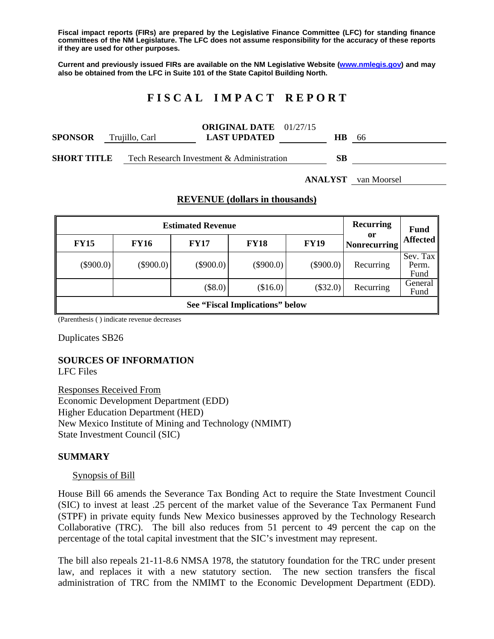**Fiscal impact reports (FIRs) are prepared by the Legislative Finance Committee (LFC) for standing finance committees of the NM Legislature. The LFC does not assume responsibility for the accuracy of these reports if they are used for other purposes.** 

**Current and previously issued FIRs are available on the NM Legislative Website (www.nmlegis.gov) and may also be obtained from the LFC in Suite 101 of the State Capitol Building North.** 

# **F I S C A L I M P A C T R E P O R T**

| <b>SPONSOR</b>     |  | Trujillo, Carl | <b>ORIGINAL DATE</b> 01/27/15<br><b>LAST UPDATED</b> | HB. | -66 |
|--------------------|--|----------------|------------------------------------------------------|-----|-----|
| <b>SHORT TITLE</b> |  |                | Tech Research Investment & Administration            | SB. |     |

**ANALYST** van Moorsel

#### **REVENUE (dollars in thousands)**

|             | <b>Recurring</b>                | <b>Fund</b> |             |             |                           |                           |  |  |  |  |  |
|-------------|---------------------------------|-------------|-------------|-------------|---------------------------|---------------------------|--|--|--|--|--|
| <b>FY15</b> | <b>FY16</b>                     | <b>FY17</b> | <b>FY18</b> | <b>FY19</b> | 0r<br><b>Nonrecurring</b> | <b>Affected</b>           |  |  |  |  |  |
| $(\$900.0)$ | $(\$900.0)$                     | $(\$900.0)$ | $(\$900.0)$ | $(\$900.0)$ | Recurring                 | Sev. Tax<br>Perm.<br>Fund |  |  |  |  |  |
|             |                                 | $(\$8.0)$   | (\$16.0)    | $(\$32.0)$  | Recurring                 | General<br>Fund           |  |  |  |  |  |
|             | See "Fiscal Implications" below |             |             |             |                           |                           |  |  |  |  |  |

(Parenthesis ( ) indicate revenue decreases

Duplicates SB26

### **SOURCES OF INFORMATION**

LFC Files

Responses Received From Economic Development Department (EDD) Higher Education Department (HED) New Mexico Institute of Mining and Technology (NMIMT) State Investment Council (SIC)

#### **SUMMARY**

#### Synopsis of Bill

House Bill 66 amends the Severance Tax Bonding Act to require the State Investment Council (SIC) to invest at least .25 percent of the market value of the Severance Tax Permanent Fund (STPF) in private equity funds New Mexico businesses approved by the Technology Research Collaborative (TRC). The bill also reduces from 51 percent to 49 percent the cap on the percentage of the total capital investment that the SIC's investment may represent.

The bill also repeals 21-11-8.6 NMSA 1978, the statutory foundation for the TRC under present law, and replaces it with a new statutory section. The new section transfers the fiscal administration of TRC from the NMIMT to the Economic Development Department (EDD).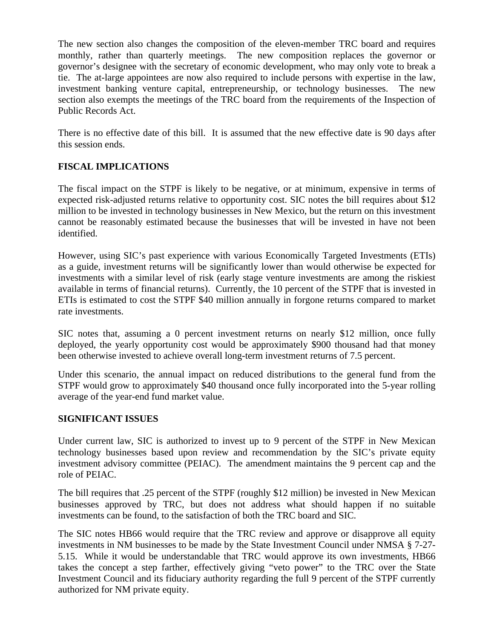The new section also changes the composition of the eleven-member TRC board and requires monthly, rather than quarterly meetings. The new composition replaces the governor or governor's designee with the secretary of economic development, who may only vote to break a tie. The at-large appointees are now also required to include persons with expertise in the law, investment banking venture capital, entrepreneurship, or technology businesses. The new section also exempts the meetings of the TRC board from the requirements of the Inspection of Public Records Act.

There is no effective date of this bill. It is assumed that the new effective date is 90 days after this session ends.

# **FISCAL IMPLICATIONS**

The fiscal impact on the STPF is likely to be negative, or at minimum, expensive in terms of expected risk-adjusted returns relative to opportunity cost. SIC notes the bill requires about \$12 million to be invested in technology businesses in New Mexico, but the return on this investment cannot be reasonably estimated because the businesses that will be invested in have not been identified.

However, using SIC's past experience with various Economically Targeted Investments (ETIs) as a guide, investment returns will be significantly lower than would otherwise be expected for investments with a similar level of risk (early stage venture investments are among the riskiest available in terms of financial returns). Currently, the 10 percent of the STPF that is invested in ETIs is estimated to cost the STPF \$40 million annually in forgone returns compared to market rate investments.

SIC notes that, assuming a 0 percent investment returns on nearly \$12 million, once fully deployed, the yearly opportunity cost would be approximately \$900 thousand had that money been otherwise invested to achieve overall long-term investment returns of 7.5 percent.

Under this scenario, the annual impact on reduced distributions to the general fund from the STPF would grow to approximately \$40 thousand once fully incorporated into the 5-year rolling average of the year-end fund market value.

### **SIGNIFICANT ISSUES**

Under current law, SIC is authorized to invest up to 9 percent of the STPF in New Mexican technology businesses based upon review and recommendation by the SIC's private equity investment advisory committee (PEIAC). The amendment maintains the 9 percent cap and the role of PEIAC.

The bill requires that .25 percent of the STPF (roughly \$12 million) be invested in New Mexican businesses approved by TRC, but does not address what should happen if no suitable investments can be found, to the satisfaction of both the TRC board and SIC.

The SIC notes HB66 would require that the TRC review and approve or disapprove all equity investments in NM businesses to be made by the State Investment Council under NMSA § 7-27- 5.15. While it would be understandable that TRC would approve its own investments, HB66 takes the concept a step farther, effectively giving "veto power" to the TRC over the State Investment Council and its fiduciary authority regarding the full 9 percent of the STPF currently authorized for NM private equity.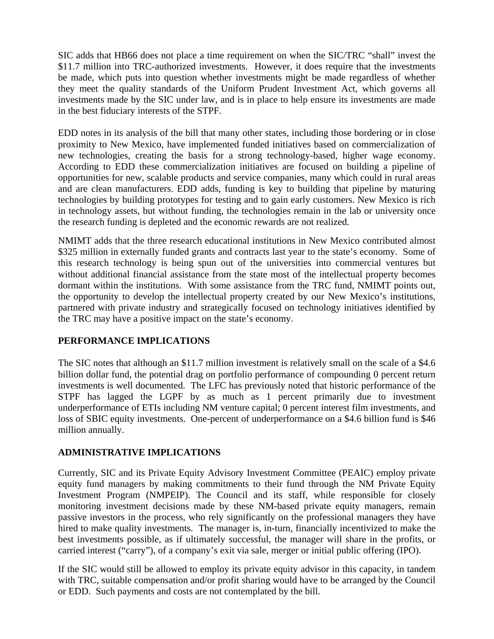SIC adds that HB66 does not place a time requirement on when the SIC/TRC "shall" invest the \$11.7 million into TRC-authorized investments. However, it does require that the investments be made, which puts into question whether investments might be made regardless of whether they meet the quality standards of the Uniform Prudent Investment Act, which governs all investments made by the SIC under law, and is in place to help ensure its investments are made in the best fiduciary interests of the STPF.

EDD notes in its analysis of the bill that many other states, including those bordering or in close proximity to New Mexico, have implemented funded initiatives based on commercialization of new technologies, creating the basis for a strong technology-based, higher wage economy. According to EDD these commercialization initiatives are focused on building a pipeline of opportunities for new, scalable products and service companies, many which could in rural areas and are clean manufacturers. EDD adds, funding is key to building that pipeline by maturing technologies by building prototypes for testing and to gain early customers. New Mexico is rich in technology assets, but without funding, the technologies remain in the lab or university once the research funding is depleted and the economic rewards are not realized.

NMIMT adds that the three research educational institutions in New Mexico contributed almost \$325 million in externally funded grants and contracts last year to the state's economy. Some of this research technology is being spun out of the universities into commercial ventures but without additional financial assistance from the state most of the intellectual property becomes dormant within the institutions. With some assistance from the TRC fund, NMIMT points out, the opportunity to develop the intellectual property created by our New Mexico's institutions, partnered with private industry and strategically focused on technology initiatives identified by the TRC may have a positive impact on the state's economy.

## **PERFORMANCE IMPLICATIONS**

The SIC notes that although an \$11.7 million investment is relatively small on the scale of a \$4.6 billion dollar fund, the potential drag on portfolio performance of compounding 0 percent return investments is well documented. The LFC has previously noted that historic performance of the STPF has lagged the LGPF by as much as 1 percent primarily due to investment underperformance of ETIs including NM venture capital; 0 percent interest film investments, and loss of SBIC equity investments. One-percent of underperformance on a \$4.6 billion fund is \$46 million annually.

## **ADMINISTRATIVE IMPLICATIONS**

Currently, SIC and its Private Equity Advisory Investment Committee (PEAIC) employ private equity fund managers by making commitments to their fund through the NM Private Equity Investment Program (NMPEIP). The Council and its staff, while responsible for closely monitoring investment decisions made by these NM-based private equity managers, remain passive investors in the process, who rely significantly on the professional managers they have hired to make quality investments. The manager is, in-turn, financially incentivized to make the best investments possible, as if ultimately successful, the manager will share in the profits, or carried interest ("carry"), of a company's exit via sale, merger or initial public offering (IPO).

If the SIC would still be allowed to employ its private equity advisor in this capacity, in tandem with TRC, suitable compensation and/or profit sharing would have to be arranged by the Council or EDD. Such payments and costs are not contemplated by the bill.